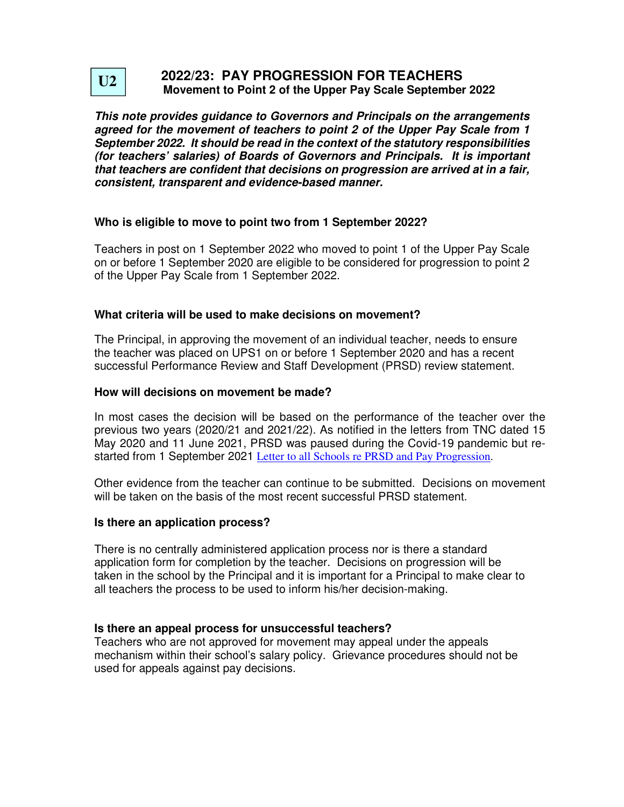

# **2022/23: PAY PROGRESSION FOR TEACHERS Movement to Point 2 of the Upper Pay Scale September 2022**

**This note provides guidance to Governors and Principals on the arrangements agreed for the movement of teachers to point 2 of the Upper Pay Scale from 1 September 2022. It should be read in the context of the statutory responsibilities (for teachers' salaries) of Boards of Governors and Principals. It is important that teachers are confident that decisions on progression are arrived at in a fair, consistent, transparent and evidence-based manner.** 

## **Who is eligible to move to point two from 1 September 2022?**

Teachers in post on 1 September 2022 who moved to point 1 of the Upper Pay Scale on or before 1 September 2020 are eligible to be considered for progression to point 2 of the Upper Pay Scale from 1 September 2022.

## **What criteria will be used to make decisions on movement?**

The Principal, in approving the movement of an individual teacher, needs to ensure the teacher was placed on UPS1 on or before 1 September 2020 and has a recent successful Performance Review and Staff Development (PRSD) review statement.

### **How will decisions on movement be made?**

In most cases the decision will be based on the performance of the teacher over the previous two years (2020/21 and 2021/22). As notified in the letters from TNC dated 15 May 2020 and 11 June 2021, PRSD was paused during the Covid-19 pandemic but restarted from 1 September 2021 Letter to all Schools re PRSD and Pay Progression.

Other evidence from the teacher can continue to be submitted. Decisions on movement will be taken on the basis of the most recent successful PRSD statement.

#### **Is there an application process?**

There is no centrally administered application process nor is there a standard application form for completion by the teacher. Decisions on progression will be taken in the school by the Principal and it is important for a Principal to make clear to all teachers the process to be used to inform his/her decision-making.

## **Is there an appeal process for unsuccessful teachers?**

Teachers who are not approved for movement may appeal under the appeals mechanism within their school's salary policy. Grievance procedures should not be used for appeals against pay decisions.